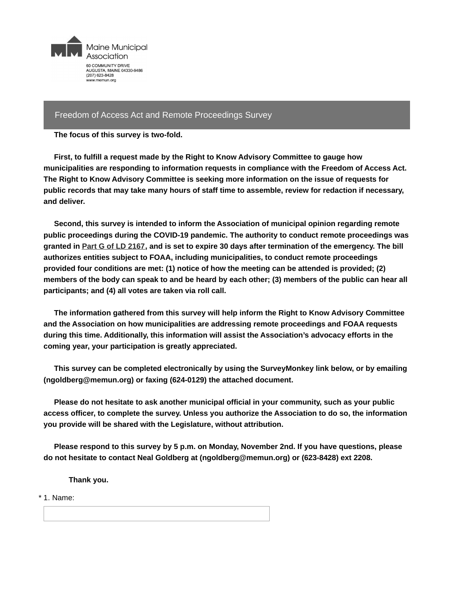

## Freedom of Access Act and Remote Proceedings Survey

**The focus of this survey is two-fold.**

**First, to fulfill a request made by the Right to Know Advisory Committee to gauge how municipalities are responding to information requests in compliance with the Freedom of Access Act. The Right to Know Advisory Committee is seeking more information on the issue of requests for public records that may take many hours of staff time to assemble, review for redaction if necessary, and deliver.**

**Second, this survey is intended to inform the Association of municipal opinion regarding remote public proceedings during the COVID-19 pandemic. The authority to conduct remote proceedings was** granted in Part G of LD [2167](http://www.mainelegislature.org/legis/bills/bills_129th/billtexts/SP078901.asp), and is set to expire 30 days after termination of the emergency. The bill **authorizes entities subject to FOAA, including municipalities, to conduct remote proceedings provided four conditions are met: (1) notice of how the meeting can be attended is provided; (2)** members of the body can speak to and be heard by each other; (3) members of the public can hear all **participants; and (4) all votes are taken via roll call.**

**The information gathered from this survey will help inform the Right to Know Advisory Committee and the Association on how municipalities are addressing remote proceedings and FOAA requests during this time. Additionally, this information will assist the Association's advocacy efforts in the coming year, your participation is greatly appreciated.**

**This survey can be completed electronically by using the SurveyMonkey link below, or by emailing (ngoldberg@memun.org) or faxing (624-0129) the attached document.**

**Please do not hesitate to ask another municipal official in your community, such as your public access officer, to complete the survey. Unless you authorize the Association to do so, the information you provide will be shared with the Legislature, without attribution.**

**Please respond to this survey by 5 p.m. on Monday, November 2nd. If you have questions, please do not hesitate to contact Neal Goldberg at (ngoldberg@memun.org) or (623-8428) ext 2208.**

**Thank you.**

\* 1. Name: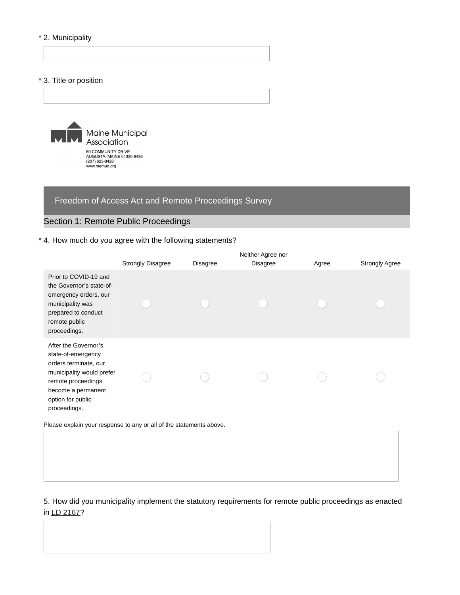### \* 2. Municipality

#### \* 3. Title or position



# Freedom of Access Act and Remote Proceedings Survey

# Section 1: Remote Public Proceedings

## \* 4. How much do you agree with the following statements?

|                                                                                                                                                                                   |                          |                 | Neither Agree nor |       |                       |
|-----------------------------------------------------------------------------------------------------------------------------------------------------------------------------------|--------------------------|-----------------|-------------------|-------|-----------------------|
|                                                                                                                                                                                   | <b>Strongly Disagree</b> | <b>Disagree</b> | <b>Disagree</b>   | Agree | <b>Strongly Agree</b> |
| Prior to COVID-19 and<br>the Governor's state-of-<br>emergency orders, our<br>municipality was<br>prepared to conduct<br>remote public<br>proceedings.                            |                          |                 |                   |       |                       |
| After the Governor's<br>state-of-emergency<br>orders terminate, our<br>municipality would prefer<br>remote proceedings<br>become a permanent<br>option for public<br>proceedings. |                          |                 |                   |       |                       |

Please explain your response to any or all of the statements above.

5. How did you municipality implement the statutory requirements for remote public proceedings as enacted in LD [2167](http://www.mainelegislature.org/legis/bills/bills_129th/billtexts/SP078901.asp)?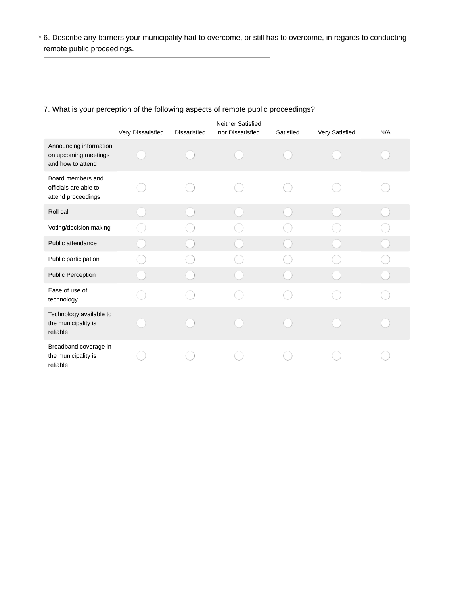6. Describe any barriers your municipality had to overcome, or still has to overcome, in regards to conducting \* remote public proceedings.

# 7. What is your perception of the following aspects of remote public proceedings?

|                                                                     | Very Dissatisfied | <b>Dissatisfied</b> | Neither Satisfied<br>nor Dissatisfied | Satisfied | Very Satisfied | N/A |
|---------------------------------------------------------------------|-------------------|---------------------|---------------------------------------|-----------|----------------|-----|
| Announcing information<br>on upcoming meetings<br>and how to attend |                   |                     |                                       |           |                |     |
| Board members and<br>officials are able to<br>attend proceedings    |                   |                     |                                       |           |                |     |
| Roll call                                                           |                   |                     |                                       |           |                |     |
| Voting/decision making                                              |                   |                     |                                       |           |                |     |
| Public attendance                                                   |                   |                     |                                       |           |                |     |
| Public participation                                                |                   |                     |                                       |           |                |     |
| <b>Public Perception</b>                                            |                   |                     |                                       |           |                |     |
| Ease of use of<br>technology                                        |                   |                     |                                       |           |                |     |
| Technology available to<br>the municipality is<br>reliable          |                   |                     |                                       |           |                |     |
| Broadband coverage in<br>the municipality is<br>reliable            |                   |                     |                                       |           |                |     |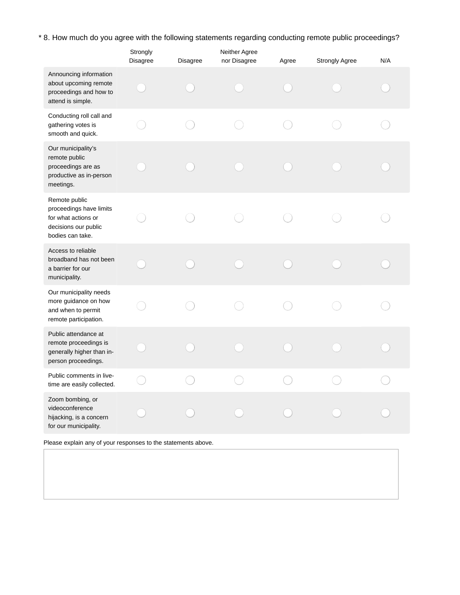\* 8. How much do you agree with the following statements regarding conducting remote public proceedings?

|                                                                                                             | Strongly<br>Disagree | Disagree | Neither Agree<br>nor Disagree | Agree | <b>Strongly Agree</b> | N/A |
|-------------------------------------------------------------------------------------------------------------|----------------------|----------|-------------------------------|-------|-----------------------|-----|
| Announcing information<br>about upcoming remote<br>proceedings and how to<br>attend is simple.              |                      |          |                               |       |                       |     |
| Conducting roll call and<br>gathering votes is<br>smooth and quick.                                         |                      |          |                               |       |                       |     |
| Our municipality's<br>remote public<br>proceedings are as<br>productive as in-person<br>meetings.           |                      |          |                               |       |                       |     |
| Remote public<br>proceedings have limits<br>for what actions or<br>decisions our public<br>bodies can take. |                      |          |                               |       |                       |     |
| Access to reliable<br>broadband has not been<br>a barrier for our<br>municipality.                          |                      |          |                               |       |                       |     |
| Our municipality needs<br>more guidance on how<br>and when to permit<br>remote participation.               |                      |          |                               |       |                       |     |
| Public attendance at<br>remote proceedings is<br>generally higher than in-<br>person proceedings.           |                      |          |                               |       |                       |     |
| Public comments in live-<br>time are easily collected.                                                      |                      |          |                               |       |                       |     |
| Zoom bombing, or<br>videoconference<br>hijacking, is a concern<br>for our municipality.                     |                      |          |                               |       |                       |     |

Please explain any of your responses to the statements above.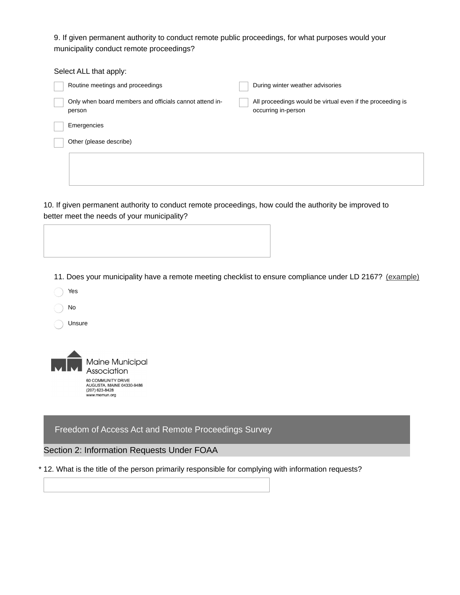9. If given permanent authority to conduct remote public proceedings, for what purposes would your municipality conduct remote proceedings?

| Select ALL that apply:                                            |                                                                                   |
|-------------------------------------------------------------------|-----------------------------------------------------------------------------------|
| Routine meetings and proceedings                                  | During winter weather advisories                                                  |
| Only when board members and officials cannot attend in-<br>person | All proceedings would be virtual even if the proceeding is<br>occurring in-person |
| Emergencies                                                       |                                                                                   |
| Other (please describe)                                           |                                                                                   |
|                                                                   |                                                                                   |

10. If given permanent authority to conduct remote proceedings, how could the authority be improved to better meet the needs of your municipality?

11. Does your municipality have a remote meeting checklist to ensure compliance under LD 2167? [\(example\)](https://www.nhmunicipal.org/sites/default/files/uploads/documents/soe_e-meeting_checklist-jdl.pdf)

| Yes |
|-----|
|     |

No

Unsure



Freedom of Access Act and Remote Proceedings Survey

#### Section 2: Information Requests Under FOAA

\* 12. What is the title of the person primarily responsible for complying with information requests?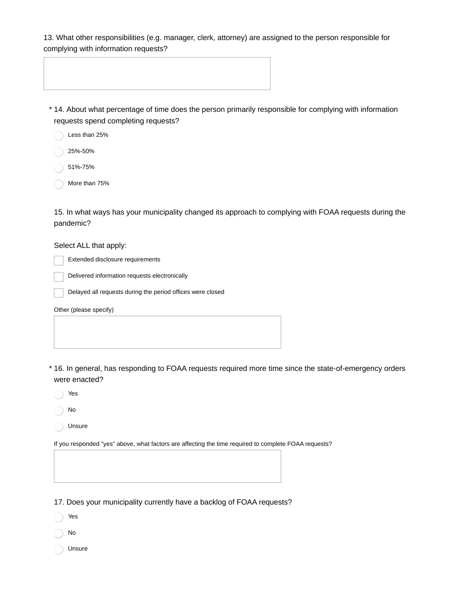13. What other responsibilities (e.g. manager, clerk, attorney) are assigned to the person responsible for complying with information requests?

|  | $\mathbf{a}$ and a local contract of $\mathbf{a}$ and the state of the contract of the contract of the state of the contract of the state of the state of the state of the state of the state of the state of the state of the state |
|--|--------------------------------------------------------------------------------------------------------------------------------------------------------------------------------------------------------------------------------------|

14. About what percentage of time does the person primarily responsible for complying with information \* requests spend completing requests?

- Less than 25%
- 25%-50%
- 51%-75%
- More than 75%

15. In what ways has your municipality changed its approach to complying with FOAA requests during the pandemic?

## Select ALL that apply:

Extended disclosure requirements

Delivered information requests electronically

Delayed all requests during the period offices were closed

Other (please specify)

16. In general, has responding to FOAA requests required more time since the state-of-emergency orders \* were enacted?

- Yes
- No
- Unsure

If you responded "yes" above, what factors are affecting the time required to complete FOAA requests?

17. Does your municipality currently have a backlog of FOAA requests?

Yes

- No
- Unsure